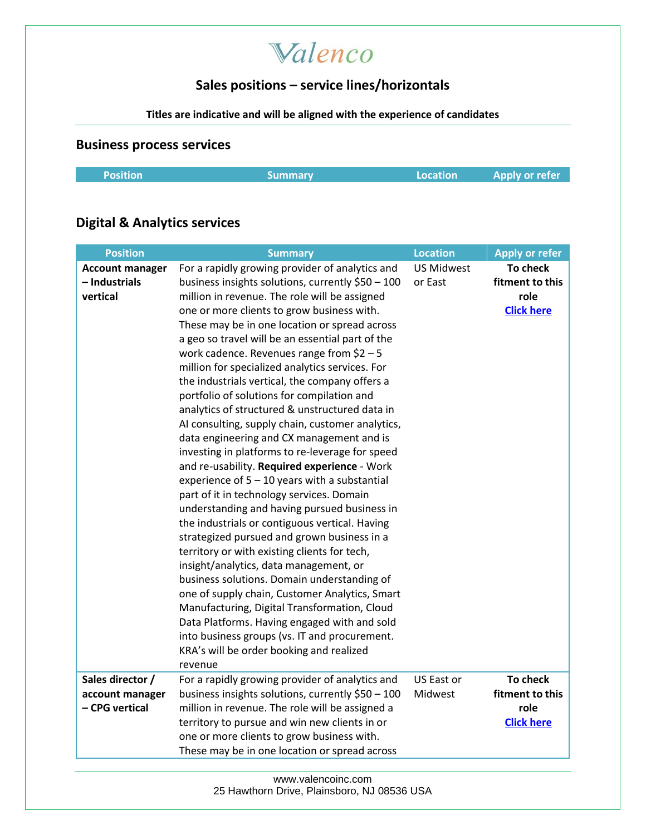## Valenco

### **Sales positions – service lines/horizontals**

#### **Titles are indicative and will be aligned with the experience of candidates**

#### **Business process services**

|  | <b>Position</b> | Summary | <b>Location</b> | <b>Apply or refer</b> |
|--|-----------------|---------|-----------------|-----------------------|
|--|-----------------|---------|-----------------|-----------------------|

## **Digital & Analytics services**

| <b>Position</b>                                     | <b>Summary</b>                                                                                                                                                                                                                                                                                                                                                                                                                                                                                                                                                                                                                                                                                                                                                                                                                                                                                                                                                                                                                                                                                                                                                                                                                                                                                                                                                                                                    | <b>Location</b>              | <b>Apply or refer</b>                                    |
|-----------------------------------------------------|-------------------------------------------------------------------------------------------------------------------------------------------------------------------------------------------------------------------------------------------------------------------------------------------------------------------------------------------------------------------------------------------------------------------------------------------------------------------------------------------------------------------------------------------------------------------------------------------------------------------------------------------------------------------------------------------------------------------------------------------------------------------------------------------------------------------------------------------------------------------------------------------------------------------------------------------------------------------------------------------------------------------------------------------------------------------------------------------------------------------------------------------------------------------------------------------------------------------------------------------------------------------------------------------------------------------------------------------------------------------------------------------------------------------|------------------------------|----------------------------------------------------------|
| <b>Account manager</b><br>- Industrials<br>vertical | For a rapidly growing provider of analytics and<br>business insights solutions, currently \$50 - 100<br>million in revenue. The role will be assigned<br>one or more clients to grow business with.<br>These may be in one location or spread across<br>a geo so travel will be an essential part of the<br>work cadence. Revenues range from $$2-5$<br>million for specialized analytics services. For<br>the industrials vertical, the company offers a<br>portfolio of solutions for compilation and<br>analytics of structured & unstructured data in<br>AI consulting, supply chain, customer analytics,<br>data engineering and CX management and is<br>investing in platforms to re-leverage for speed<br>and re-usability. Required experience - Work<br>experience of $5 - 10$ years with a substantial<br>part of it in technology services. Domain<br>understanding and having pursued business in<br>the industrials or contiguous vertical. Having<br>strategized pursued and grown business in a<br>territory or with existing clients for tech,<br>insight/analytics, data management, or<br>business solutions. Domain understanding of<br>one of supply chain, Customer Analytics, Smart<br>Manufacturing, Digital Transformation, Cloud<br>Data Platforms. Having engaged with and sold<br>into business groups (vs. IT and procurement.<br>KRA's will be order booking and realized<br>revenue | <b>US Midwest</b><br>or East | To check<br>fitment to this<br>role<br><b>Click here</b> |
| Sales director /                                    | For a rapidly growing provider of analytics and                                                                                                                                                                                                                                                                                                                                                                                                                                                                                                                                                                                                                                                                                                                                                                                                                                                                                                                                                                                                                                                                                                                                                                                                                                                                                                                                                                   | US East or                   | To check                                                 |
| account manager<br>- CPG vertical                   | business insights solutions, currently \$50 - 100<br>million in revenue. The role will be assigned a                                                                                                                                                                                                                                                                                                                                                                                                                                                                                                                                                                                                                                                                                                                                                                                                                                                                                                                                                                                                                                                                                                                                                                                                                                                                                                              | Midwest                      | fitment to this<br>role                                  |
|                                                     | territory to pursue and win new clients in or                                                                                                                                                                                                                                                                                                                                                                                                                                                                                                                                                                                                                                                                                                                                                                                                                                                                                                                                                                                                                                                                                                                                                                                                                                                                                                                                                                     |                              | <b>Click here</b>                                        |
|                                                     | one or more clients to grow business with.                                                                                                                                                                                                                                                                                                                                                                                                                                                                                                                                                                                                                                                                                                                                                                                                                                                                                                                                                                                                                                                                                                                                                                                                                                                                                                                                                                        |                              |                                                          |
|                                                     | These may be in one location or spread across                                                                                                                                                                                                                                                                                                                                                                                                                                                                                                                                                                                                                                                                                                                                                                                                                                                                                                                                                                                                                                                                                                                                                                                                                                                                                                                                                                     |                              |                                                          |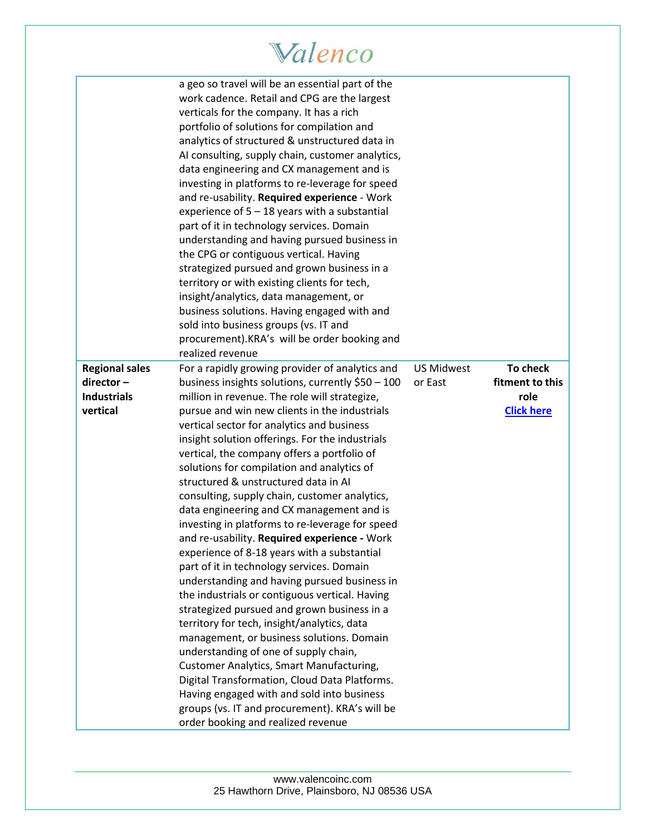# Walenco

|                                                                         | a geo so travel will be an essential part of the<br>work cadence. Retail and CPG are the largest<br>verticals for the company. It has a rich<br>portfolio of solutions for compilation and<br>analytics of structured & unstructured data in<br>AI consulting, supply chain, customer analytics,<br>data engineering and CX management and is<br>investing in platforms to re-leverage for speed<br>and re-usability. Required experience - Work<br>experience of $5 - 18$ years with a substantial<br>part of it in technology services. Domain<br>understanding and having pursued business in<br>the CPG or contiguous vertical. Having<br>strategized pursued and grown business in a<br>territory or with existing clients for tech,<br>insight/analytics, data management, or<br>business solutions. Having engaged with and<br>sold into business groups (vs. IT and<br>procurement).KRA's will be order booking and<br>realized revenue                                                                                                                                                                                                                                                                                                                           |                              |                                                          |
|-------------------------------------------------------------------------|---------------------------------------------------------------------------------------------------------------------------------------------------------------------------------------------------------------------------------------------------------------------------------------------------------------------------------------------------------------------------------------------------------------------------------------------------------------------------------------------------------------------------------------------------------------------------------------------------------------------------------------------------------------------------------------------------------------------------------------------------------------------------------------------------------------------------------------------------------------------------------------------------------------------------------------------------------------------------------------------------------------------------------------------------------------------------------------------------------------------------------------------------------------------------------------------------------------------------------------------------------------------------|------------------------------|----------------------------------------------------------|
| <b>Regional sales</b><br>$director -$<br><b>Industrials</b><br>vertical | For a rapidly growing provider of analytics and<br>business insights solutions, currently \$50 - 100<br>million in revenue. The role will strategize,<br>pursue and win new clients in the industrials<br>vertical sector for analytics and business<br>insight solution offerings. For the industrials<br>vertical, the company offers a portfolio of<br>solutions for compilation and analytics of<br>structured & unstructured data in AI<br>consulting, supply chain, customer analytics,<br>data engineering and CX management and is<br>investing in platforms to re-leverage for speed<br>and re-usability. Required experience - Work<br>experience of 8-18 years with a substantial<br>part of it in technology services. Domain<br>understanding and having pursued business in<br>the industrials or contiguous vertical. Having<br>strategized pursued and grown business in a<br>territory for tech, insight/analytics, data<br>management, or business solutions. Domain<br>understanding of one of supply chain,<br><b>Customer Analytics, Smart Manufacturing,</b><br>Digital Transformation, Cloud Data Platforms.<br>Having engaged with and sold into business<br>groups (vs. IT and procurement). KRA's will be<br>order booking and realized revenue | <b>US Midwest</b><br>or East | To check<br>fitment to this<br>role<br><b>Click here</b> |